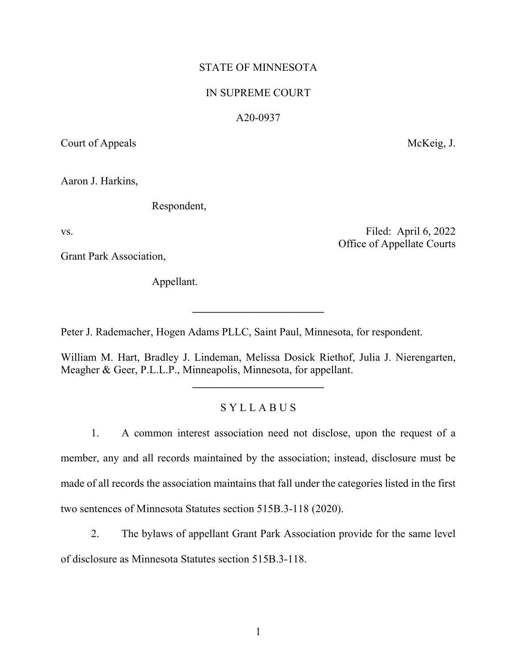# STATE OF MINNESOTA

### IN SUPREME COURT

### A20-0937

Court of Appeals McKeig, J.

Aaron J. Harkins,

Respondent,

vs. Filed: April 6, 2022 Office of Appellate Courts

Grant Park Association,

Appellant.

Peter J. Rademacher, Hogen Adams PLLC, Saint Paul, Minnesota, for respondent.

William M. Hart, Bradley J. Lindeman, Melissa Dosick Riethof, Julia J. Nierengarten, Meagher & Geer, P.L.L.P., Minneapolis, Minnesota, for appellant.

**\_\_\_\_\_\_\_\_\_\_\_\_\_\_\_\_\_\_\_\_\_\_\_\_**

**\_\_\_\_\_\_\_\_\_\_\_\_\_\_\_\_\_\_\_\_\_\_\_\_**

# S Y L L A B U S

1. A common interest association need not disclose, upon the request of a member, any and all records maintained by the association; instead, disclosure must be made of all records the association maintains that fall under the categories listed in the first two sentences of Minnesota Statutes section 515B.3-118 (2020).

2. The bylaws of appellant Grant Park Association provide for the same level

of disclosure as Minnesota Statutes section 515B.3-118.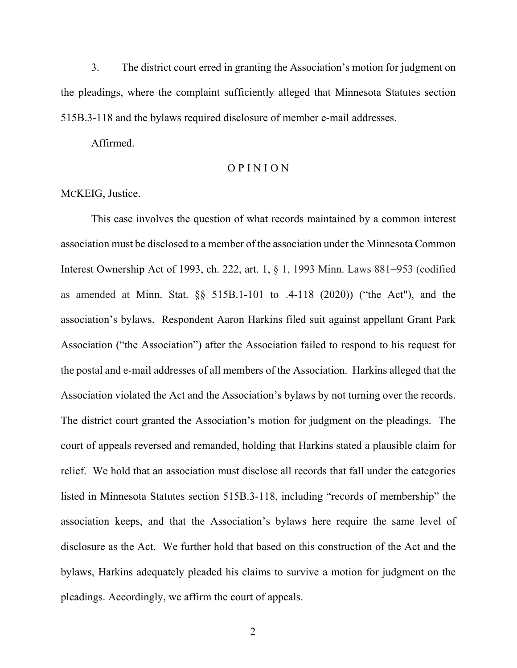3. The district court erred in granting the Association's motion for judgment on the pleadings, where the complaint sufficiently alleged that Minnesota Statutes section 515B.3-118 and the bylaws required disclosure of member e-mail addresses.

Affirmed.

## O P I N I O N

### MCKEIG, Justice.

This case involves the question of what records maintained by a common interest association must be disclosed to a member of the association under the Minnesota Common Interest Ownership Act of 1993, ch. 222, art. 1, § 1, 1993 Minn. Laws 881–953 (codified as amended at Minn. Stat. §§ 515B.1-101 to .4-118 (2020)) ("the Act"), and the association's bylaws. Respondent Aaron Harkins filed suit against appellant Grant Park Association ("the Association") after the Association failed to respond to his request for the postal and e-mail addresses of all members of the Association. Harkins alleged that the Association violated the Act and the Association's bylaws by not turning over the records. The district court granted the Association's motion for judgment on the pleadings. The court of appeals reversed and remanded, holding that Harkins stated a plausible claim for relief. We hold that an association must disclose all records that fall under the categories listed in Minnesota Statutes section 515B.3-118, including "records of membership" the association keeps, and that the Association's bylaws here require the same level of disclosure as the Act. We further hold that based on this construction of the Act and the bylaws, Harkins adequately pleaded his claims to survive a motion for judgment on the pleadings. Accordingly, we affirm the court of appeals.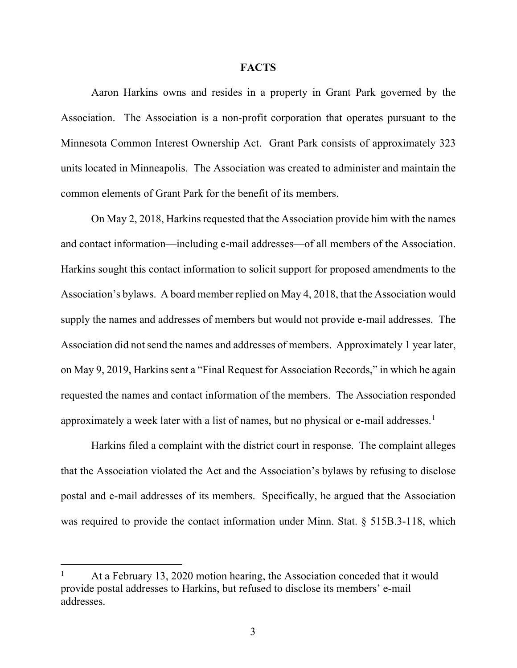#### **FACTS**

Aaron Harkins owns and resides in a property in Grant Park governed by the Association. The Association is a non-profit corporation that operates pursuant to the Minnesota Common Interest Ownership Act. Grant Park consists of approximately 323 units located in Minneapolis. The Association was created to administer and maintain the common elements of Grant Park for the benefit of its members.

On May 2, 2018, Harkins requested that the Association provide him with the names and contact information—including e-mail addresses—of all members of the Association. Harkins sought this contact information to solicit support for proposed amendments to the Association's bylaws. A board member replied on May 4, 2018, that the Association would supply the names and addresses of members but would not provide e-mail addresses. The Association did not send the names and addresses of members. Approximately 1 year later, on May 9, 2019, Harkins sent a "Final Request for Association Records," in which he again requested the names and contact information of the members. The Association responded approximately a week later with a list of names, but no physical or e-mail addresses.<sup>[1](#page-2-0)</sup>

Harkins filed a complaint with the district court in response. The complaint alleges that the Association violated the Act and the Association's bylaws by refusing to disclose postal and e-mail addresses of its members. Specifically, he argued that the Association was required to provide the contact information under Minn. Stat. § 515B.3-118, which

<span id="page-2-0"></span>At a February 13, 2020 motion hearing, the Association conceded that it would provide postal addresses to Harkins, but refused to disclose its members' e-mail addresses.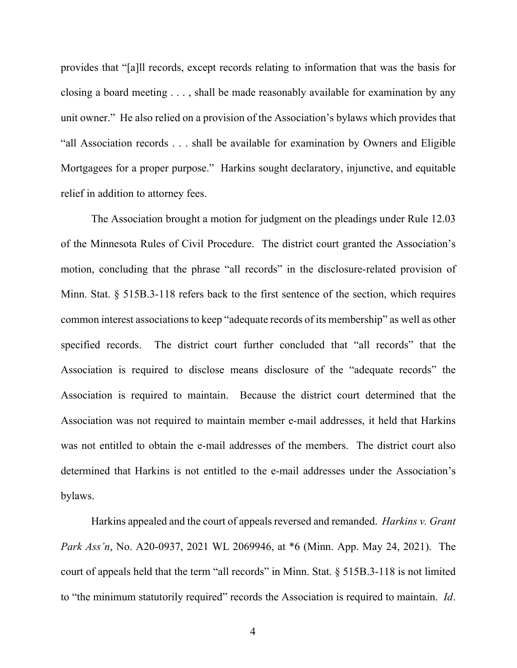provides that "[a]ll records, except records relating to information that was the basis for closing a board meeting . . . , shall be made reasonably available for examination by any unit owner." He also relied on a provision of the Association's bylaws which provides that "all Association records . . . shall be available for examination by Owners and Eligible Mortgagees for a proper purpose." Harkins sought declaratory, injunctive, and equitable relief in addition to attorney fees.

The Association brought a motion for judgment on the pleadings under Rule 12.03 of the Minnesota Rules of Civil Procedure. The district court granted the Association's motion, concluding that the phrase "all records" in the disclosure-related provision of Minn. Stat. § 515B.3-118 refers back to the first sentence of the section, which requires common interest associations to keep "adequate records of its membership" as well as other specified records. The district court further concluded that "all records" that the Association is required to disclose means disclosure of the "adequate records" the Association is required to maintain. Because the district court determined that the Association was not required to maintain member e-mail addresses, it held that Harkins was not entitled to obtain the e-mail addresses of the members. The district court also determined that Harkins is not entitled to the e-mail addresses under the Association's bylaws.

Harkins appealed and the court of appeals reversed and remanded. *Harkins v. Grant Park Ass'n*, No. A20-0937, 2021 WL 2069946, at \*6 (Minn. App. May 24, 2021). The court of appeals held that the term "all records" in Minn. Stat. § 515B.3-118 is not limited to "the minimum statutorily required" records the Association is required to maintain. *Id*.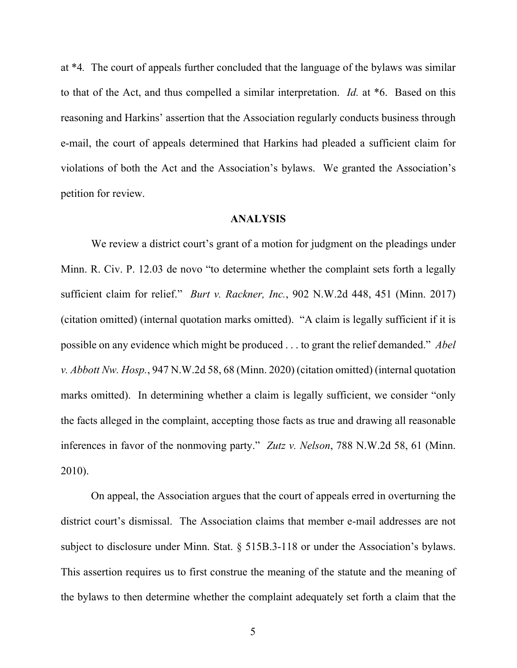at \*4*.* The court of appeals further concluded that the language of the bylaws was similar to that of the Act, and thus compelled a similar interpretation. *Id.* at \*6. Based on this reasoning and Harkins' assertion that the Association regularly conducts business through e-mail, the court of appeals determined that Harkins had pleaded a sufficient claim for violations of both the Act and the Association's bylaws. We granted the Association's petition for review.

## **ANALYSIS**

We review a district court's grant of a motion for judgment on the pleadings under Minn. R. Civ. P. 12.03 de novo "to determine whether the complaint sets forth a legally sufficient claim for relief." *Burt v. Rackner, Inc.*, 902 N.W.2d 448, 451 (Minn. 2017) (citation omitted) (internal quotation marks omitted). "A claim is legally sufficient if it is possible on any evidence which might be produced . . . to grant the relief demanded." *Abel v. Abbott Nw. Hosp.*, 947 N.W.2d 58, 68 (Minn. 2020) (citation omitted) (internal quotation marks omitted). In determining whether a claim is legally sufficient, we consider "only the facts alleged in the complaint, accepting those facts as true and drawing all reasonable inferences in favor of the nonmoving party." *Zutz v. Nelson*, 788 N.W.2d 58, 61 (Minn. 2010).

On appeal, the Association argues that the court of appeals erred in overturning the district court's dismissal. The Association claims that member e-mail addresses are not subject to disclosure under Minn. Stat. § 515B.3-118 or under the Association's bylaws. This assertion requires us to first construe the meaning of the statute and the meaning of the bylaws to then determine whether the complaint adequately set forth a claim that the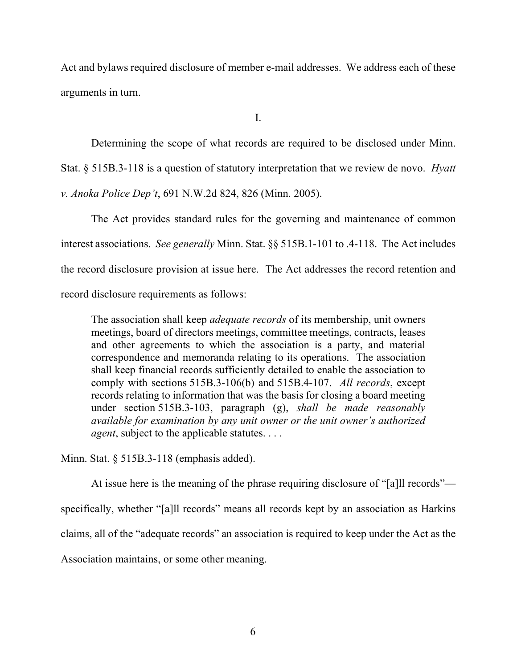Act and bylaws required disclosure of member e-mail addresses. We address each of these arguments in turn.

I.

Determining the scope of what records are required to be disclosed under Minn. Stat. § 515B.3-118 is a question of statutory interpretation that we review de novo. *Hyatt v. Anoka Police Dep't*, 691 N.W.2d 824, 826 (Minn. 2005).

The Act provides standard rules for the governing and maintenance of common interest associations. *See generally* Minn. Stat. §§ 515B.1-101 to .4-118. The Act includes the record disclosure provision at issue here. The Act addresses the record retention and record disclosure requirements as follows:

The association shall keep *adequate records* of its membership, unit owners meetings, board of directors meetings, committee meetings, contracts, leases and other agreements to which the association is a party, and material correspondence and memoranda relating to its operations. The association shall keep financial records sufficiently detailed to enable the association to comply with sections 515B.3-106(b) and 515B.4-107. *All records*, except records relating to information that was the basis for closing a board meeting under section 515B.3-103, paragraph (g), *shall be made reasonably available for examination by any unit owner or the unit owner's authorized agent*, subject to the applicable statutes. . . .

Minn. Stat. § 515B.3-118 (emphasis added).

At issue here is the meaning of the phrase requiring disclosure of "[a]ll records" specifically, whether "[a]ll records" means all records kept by an association as Harkins claims, all of the "adequate records" an association is required to keep under the Act as the Association maintains, or some other meaning.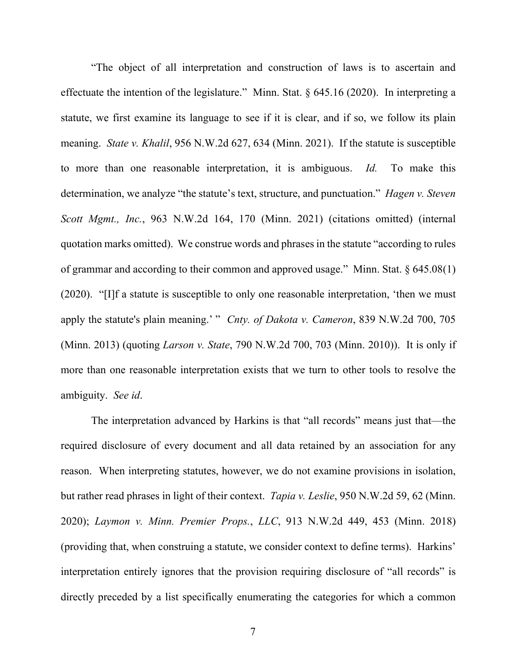"The object of all interpretation and construction of laws is to ascertain and effectuate the intention of the legislature." Minn. Stat.  $\S$  645.16 (2020). In interpreting a statute, we first examine its language to see if it is clear, and if so, we follow its plain meaning. *State v. Khalil*, 956 N.W.2d 627, 634 (Minn. 2021). If the statute is susceptible to more than one reasonable interpretation, it is ambiguous. *Id.* To make this determination, we analyze "the statute's text, structure, and punctuation." *Hagen v. Steven Scott Mgmt., Inc.*, 963 N.W.2d 164, 170 (Minn. 2021) (citations omitted) (internal quotation marks omitted). We construe words and phrases in the statute "according to rules of grammar and according to their common and approved usage." Minn. Stat.  $\S 645.08(1)$ (2020). "[I]f a statute is susceptible to only one reasonable interpretation, 'then we must apply the statute's plain meaning.' " *Cnty. of Dakota v. Cameron*, 839 N.W.2d 700, 705 (Minn. 2013) (quoting *Larson v. State*, 790 N.W.2d 700, 703 (Minn. 2010)). It is only if more than one reasonable interpretation exists that we turn to other tools to resolve the ambiguity. *See id*.

The interpretation advanced by Harkins is that "all records" means just that—the required disclosure of every document and all data retained by an association for any reason. When interpreting statutes, however, we do not examine provisions in isolation, but rather read phrases in light of their context. *Tapia v. Leslie*, 950 N.W.2d 59, 62 (Minn. 2020); *Laymon v. Minn. Premier Props.*, *LLC*, 913 N.W.2d 449, 453 (Minn. 2018) (providing that, when construing a statute, we consider context to define terms). Harkins' interpretation entirely ignores that the provision requiring disclosure of "all records" is directly preceded by a list specifically enumerating the categories for which a common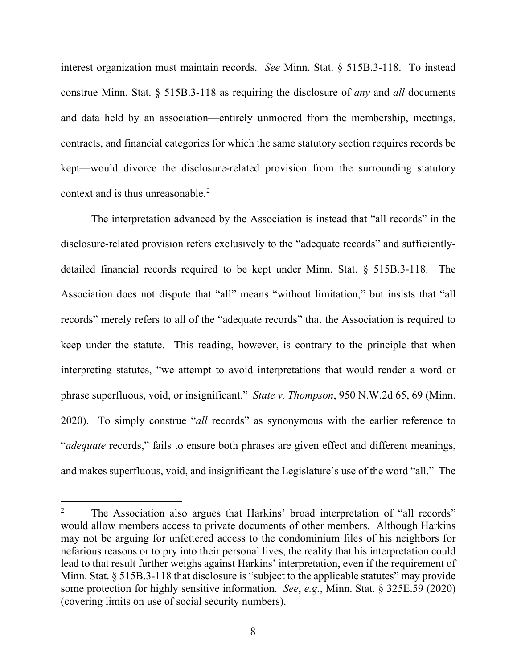interest organization must maintain records. *See* Minn. Stat. § 515B.3-118. To instead construe Minn. Stat. § 515B.3-118 as requiring the disclosure of *any* and *all* documents and data held by an association—entirely unmoored from the membership, meetings, contracts, and financial categories for which the same statutory section requires records be kept—would divorce the disclosure-related provision from the surrounding statutory context and is thus unreasonable.<sup>[2](#page-7-0)</sup>

The interpretation advanced by the Association is instead that "all records" in the disclosure-related provision refers exclusively to the "adequate records" and sufficientlydetailed financial records required to be kept under Minn. Stat. § 515B.3-118. The Association does not dispute that "all" means "without limitation," but insists that "all records" merely refers to all of the "adequate records" that the Association is required to keep under the statute. This reading, however, is contrary to the principle that when interpreting statutes, "we attempt to avoid interpretations that would render a word or phrase superfluous, void, or insignificant." *State v. Thompson*, 950 N.W.2d 65, 69 (Minn. 2020). To simply construe "*all* records" as synonymous with the earlier reference to "*adequate* records," fails to ensure both phrases are given effect and different meanings, and makes superfluous, void, and insignificant the Legislature's use of the word "all." The

<span id="page-7-0"></span><sup>&</sup>lt;sup>2</sup> The Association also argues that Harkins' broad interpretation of "all records" would allow members access to private documents of other members. Although Harkins may not be arguing for unfettered access to the condominium files of his neighbors for nefarious reasons or to pry into their personal lives, the reality that his interpretation could lead to that result further weighs against Harkins' interpretation, even if the requirement of Minn. Stat. § 515B.3-118 that disclosure is "subject to the applicable statutes" may provide some protection for highly sensitive information. *See*, *e.g.*, Minn. Stat. § 325E.59 (2020) (covering limits on use of social security numbers).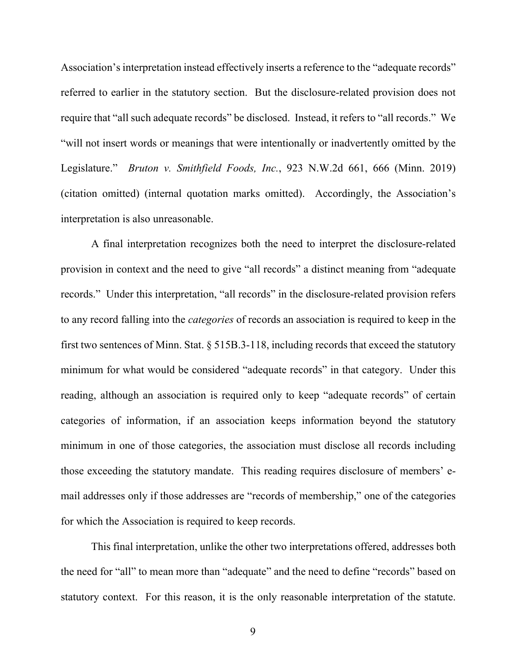Association's interpretation instead effectively inserts a reference to the "adequate records" referred to earlier in the statutory section. But the disclosure-related provision does not require that "all such adequate records" be disclosed. Instead, it refers to "all records." We "will not insert words or meanings that were intentionally or inadvertently omitted by the Legislature." *Bruton v. Smithfield Foods, Inc.*, 923 N.W.2d 661, 666 (Minn. 2019) (citation omitted) (internal quotation marks omitted). Accordingly, the Association's interpretation is also unreasonable.

A final interpretation recognizes both the need to interpret the disclosure-related provision in context and the need to give "all records" a distinct meaning from "adequate records." Under this interpretation, "all records" in the disclosure-related provision refers to any record falling into the *categories* of records an association is required to keep in the first two sentences of Minn. Stat. § 515B.3-118, including records that exceed the statutory minimum for what would be considered "adequate records" in that category. Under this reading, although an association is required only to keep "adequate records" of certain categories of information, if an association keeps information beyond the statutory minimum in one of those categories, the association must disclose all records including those exceeding the statutory mandate. This reading requires disclosure of members' email addresses only if those addresses are "records of membership," one of the categories for which the Association is required to keep records.

This final interpretation, unlike the other two interpretations offered, addresses both the need for "all" to mean more than "adequate" and the need to define "records" based on statutory context. For this reason, it is the only reasonable interpretation of the statute.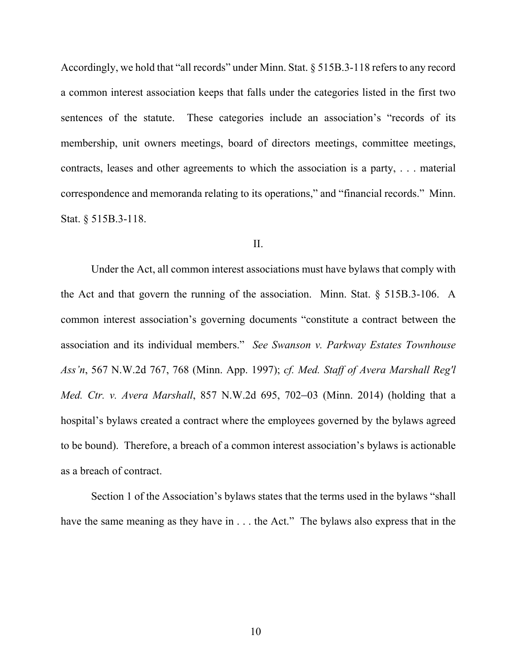Accordingly, we hold that "all records" under Minn. Stat. § 515B.3-118 refers to any record a common interest association keeps that falls under the categories listed in the first two sentences of the statute. These categories include an association's "records of its membership, unit owners meetings, board of directors meetings, committee meetings, contracts, leases and other agreements to which the association is a party, . . . material correspondence and memoranda relating to its operations," and "financial records." Minn. Stat. § 515B.3-118.

#### II.

Under the Act, all common interest associations must have bylaws that comply with the Act and that govern the running of the association. Minn. Stat. § 515B.3-106. A common interest association's governing documents "constitute a contract between the association and its individual members." *See Swanson v. Parkway Estates Townhouse Ass'n*, 567 N.W.2d 767, 768 (Minn. App. 1997); *cf. Med. Staff of Avera Marshall Reg'l Med. Ctr. v. Avera Marshall*, 857 N.W.2d 695, 702–03 (Minn. 2014) (holding that a hospital's bylaws created a contract where the employees governed by the bylaws agreed to be bound). Therefore, a breach of a common interest association's bylaws is actionable as a breach of contract.

Section 1 of the Association's bylaws states that the terms used in the bylaws "shall have the same meaning as they have in . . . the Act." The bylaws also express that in the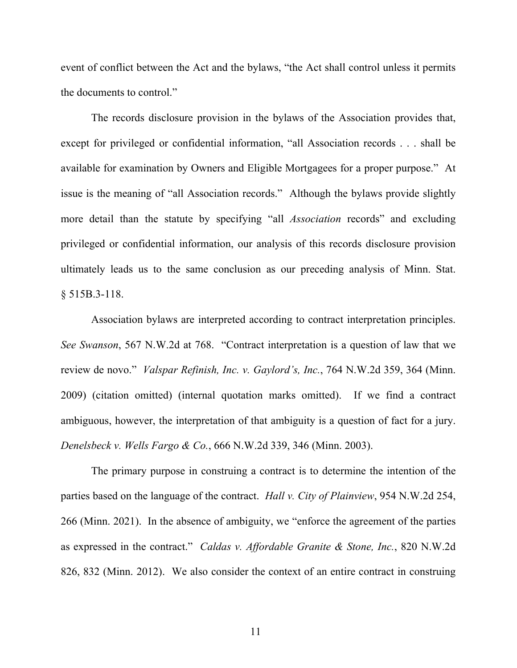event of conflict between the Act and the bylaws, "the Act shall control unless it permits the documents to control."

The records disclosure provision in the bylaws of the Association provides that, except for privileged or confidential information, "all Association records . . . shall be available for examination by Owners and Eligible Mortgagees for a proper purpose." At issue is the meaning of "all Association records." Although the bylaws provide slightly more detail than the statute by specifying "all *Association* records" and excluding privileged or confidential information, our analysis of this records disclosure provision ultimately leads us to the same conclusion as our preceding analysis of Minn. Stat. § 515B.3-118.

Association bylaws are interpreted according to contract interpretation principles. *See Swanson*, 567 N.W.2d at 768. "Contract interpretation is a question of law that we review de novo." *Valspar Refinish, Inc. v. Gaylord's, Inc.*, 764 N.W.2d 359, 364 (Minn. 2009) (citation omitted) (internal quotation marks omitted). If we find a contract ambiguous, however, the interpretation of that ambiguity is a question of fact for a jury. *Denelsbeck v. Wells Fargo & Co.*, 666 N.W.2d 339, 346 (Minn. 2003).

The primary purpose in construing a contract is to determine the intention of the parties based on the language of the contract. *Hall v. City of Plainview*, 954 N.W.2d 254, 266 (Minn. 2021). In the absence of ambiguity, we "enforce the agreement of the parties as expressed in the contract." *Caldas v. Affordable Granite & Stone, Inc.*, 820 N.W.2d 826, 832 (Minn. 2012). We also consider the context of an entire contract in construing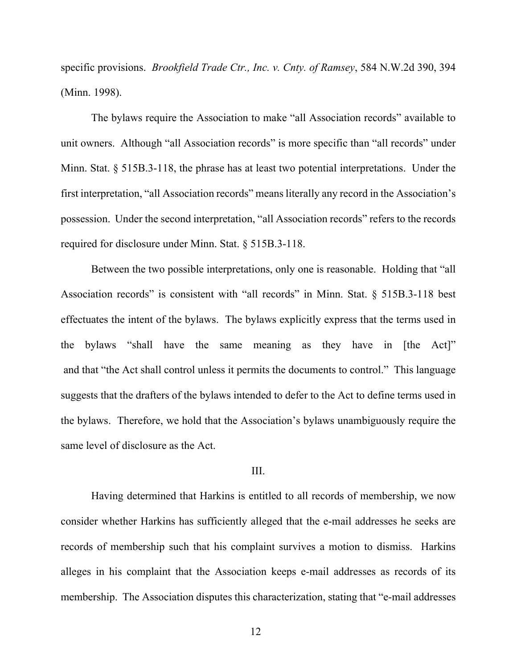specific provisions. *Brookfield Trade Ctr., Inc. v. Cnty. of Ramsey*, 584 N.W.2d 390, 394 (Minn. 1998).

The bylaws require the Association to make "all Association records" available to unit owners. Although "all Association records" is more specific than "all records" under Minn. Stat. § 515B.3-118, the phrase has at least two potential interpretations. Under the first interpretation, "all Association records" means literally any record in the Association's possession. Under the second interpretation, "all Association records" refers to the records required for disclosure under Minn. Stat. § 515B.3-118.

Between the two possible interpretations, only one is reasonable. Holding that "all Association records" is consistent with "all records" in Minn. Stat. § 515B.3-118 best effectuates the intent of the bylaws. The bylaws explicitly express that the terms used in the bylaws "shall have the same meaning as they have in [the Act]" and that "the Act shall control unless it permits the documents to control." This language suggests that the drafters of the bylaws intended to defer to the Act to define terms used in the bylaws. Therefore, we hold that the Association's bylaws unambiguously require the same level of disclosure as the Act.

#### III.

Having determined that Harkins is entitled to all records of membership, we now consider whether Harkins has sufficiently alleged that the e-mail addresses he seeks are records of membership such that his complaint survives a motion to dismiss. Harkins alleges in his complaint that the Association keeps e-mail addresses as records of its membership. The Association disputes this characterization, stating that "e-mail addresses